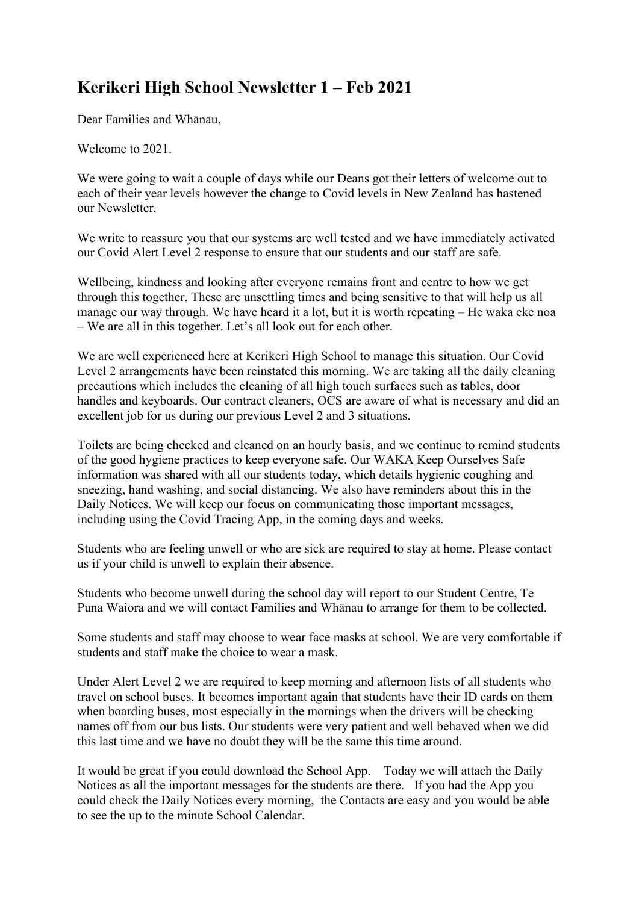## **Kerikeri High School Newsletter 1 – Feb 2021**

Dear Families and Whānau,

Welcome to 2021.

We were going to wait a couple of days while our Deans got their letters of welcome out to each of their year levels however the change to Covid levels in New Zealand has hastened our Newsletter.

We write to reassure you that our systems are well tested and we have immediately activated our Covid Alert Level 2 response to ensure that our students and our staff are safe.

Wellbeing, kindness and looking after everyone remains front and centre to how we get through this together. These are unsettling times and being sensitive to that will help us all manage our way through. We have heard it a lot, but it is worth repeating – He waka eke noa – We are all in this together. Let's all look out for each other.

We are well experienced here at Kerikeri High School to manage this situation. Our Covid Level 2 arrangements have been reinstated this morning. We are taking all the daily cleaning precautions which includes the cleaning of all high touch surfaces such as tables, door handles and keyboards. Our contract cleaners, OCS are aware of what is necessary and did an excellent job for us during our previous Level 2 and 3 situations.

Toilets are being checked and cleaned on an hourly basis, and we continue to remind students of the good hygiene practices to keep everyone safe. Our WAKA Keep Ourselves Safe information was shared with all our students today, which details hygienic coughing and sneezing, hand washing, and social distancing. We also have reminders about this in the Daily Notices. We will keep our focus on communicating those important messages, including using the Covid Tracing App, in the coming days and weeks.

Students who are feeling unwell or who are sick are required to stay at home. Please contact us if your child is unwell to explain their absence.

Students who become unwell during the school day will report to our Student Centre, Te Puna Waiora and we will contact Families and Whānau to arrange for them to be collected.

Some students and staff may choose to wear face masks at school. We are very comfortable if students and staff make the choice to wear a mask.

Under Alert Level 2 we are required to keep morning and afternoon lists of all students who travel on school buses. It becomes important again that students have their ID cards on them when boarding buses, most especially in the mornings when the drivers will be checking names off from our bus lists. Our students were very patient and well behaved when we did this last time and we have no doubt they will be the same this time around.

It would be great if you could download the School App. Today we will attach the Daily Notices as all the important messages for the students are there. If you had the App you could check the Daily Notices every morning, the Contacts are easy and you would be able to see the up to the minute School Calendar.